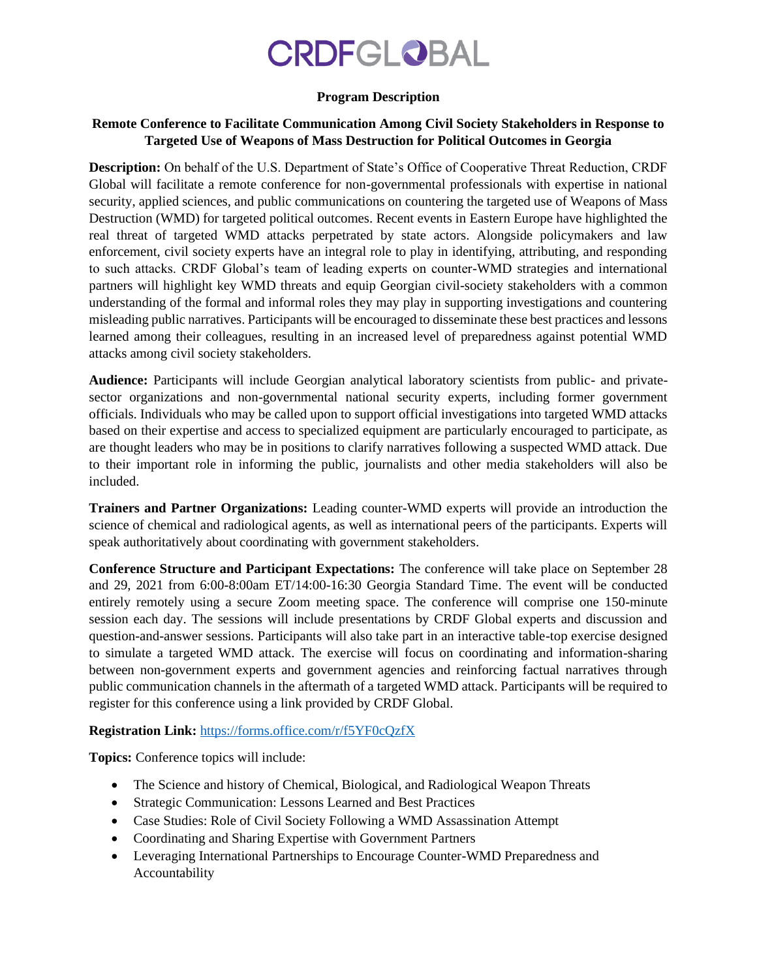# **CRDFGLOBAL**

#### **Program Description**

### **Remote Conference to Facilitate Communication Among Civil Society Stakeholders in Response to Targeted Use of Weapons of Mass Destruction for Political Outcomes in Georgia**

**Description:** On behalf of the U.S. Department of State's Office of Cooperative Threat Reduction, CRDF Global will facilitate a remote conference for non-governmental professionals with expertise in national security, applied sciences, and public communications on countering the targeted use of Weapons of Mass Destruction (WMD) for targeted political outcomes. Recent events in Eastern Europe have highlighted the real threat of targeted WMD attacks perpetrated by state actors. Alongside policymakers and law enforcement, civil society experts have an integral role to play in identifying, attributing, and responding to such attacks. CRDF Global's team of leading experts on counter-WMD strategies and international partners will highlight key WMD threats and equip Georgian civil-society stakeholders with a common understanding of the formal and informal roles they may play in supporting investigations and countering misleading public narratives. Participants will be encouraged to disseminate these best practices and lessons learned among their colleagues, resulting in an increased level of preparedness against potential WMD attacks among civil society stakeholders.

**Audience:** Participants will include Georgian analytical laboratory scientists from public- and privatesector organizations and non-governmental national security experts, including former government officials. Individuals who may be called upon to support official investigations into targeted WMD attacks based on their expertise and access to specialized equipment are particularly encouraged to participate, as are thought leaders who may be in positions to clarify narratives following a suspected WMD attack. Due to their important role in informing the public, journalists and other media stakeholders will also be included.

**Trainers and Partner Organizations:** Leading counter-WMD experts will provide an introduction the science of chemical and radiological agents, as well as international peers of the participants. Experts will speak authoritatively about coordinating with government stakeholders.

**Conference Structure and Participant Expectations:** The conference will take place on September 28 and 29, 2021 from 6:00-8:00am ET/14:00-16:30 Georgia Standard Time. The event will be conducted entirely remotely using a secure Zoom meeting space. The conference will comprise one 150-minute session each day. The sessions will include presentations by CRDF Global experts and discussion and question-and-answer sessions. Participants will also take part in an interactive table-top exercise designed to simulate a targeted WMD attack. The exercise will focus on coordinating and information-sharing between non-government experts and government agencies and reinforcing factual narratives through public communication channels in the aftermath of a targeted WMD attack. Participants will be required to register for this conference using a link provided by CRDF Global.

## **Registration Link:** <https://forms.office.com/r/f5YF0cQzfX>

**Topics:** Conference topics will include:

- The Science and history of Chemical, Biological, and Radiological Weapon Threats
- Strategic Communication: Lessons Learned and Best Practices
- Case Studies: Role of Civil Society Following a WMD Assassination Attempt
- Coordinating and Sharing Expertise with Government Partners
- Leveraging International Partnerships to Encourage Counter-WMD Preparedness and Accountability